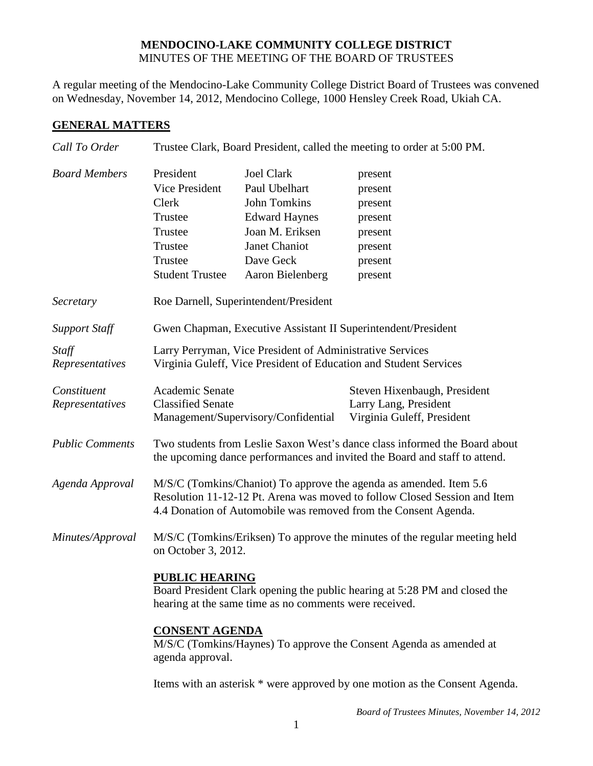## **MENDOCINO-LAKE COMMUNITY COLLEGE DISTRICT** MINUTES OF THE MEETING OF THE BOARD OF TRUSTEES

A regular meeting of the Mendocino-Lake Community College District Board of Trustees was convened on Wednesday, November 14, 2012, Mendocino College, 1000 Hensley Creek Road, Ukiah CA.

## **GENERAL MATTERS**

| Call To Order                  | Trustee Clark, Board President, called the meeting to order at 5:00 PM.                                                                                                                                            |                                                                                                                                                               |                                                                                      |  |
|--------------------------------|--------------------------------------------------------------------------------------------------------------------------------------------------------------------------------------------------------------------|---------------------------------------------------------------------------------------------------------------------------------------------------------------|--------------------------------------------------------------------------------------|--|
| <b>Board Members</b>           | President<br><b>Vice President</b><br>Clerk<br>Trustee<br>Trustee<br>Trustee<br>Trustee<br><b>Student Trustee</b>                                                                                                  | <b>Joel Clark</b><br>Paul Ubelhart<br><b>John Tomkins</b><br><b>Edward Haynes</b><br>Joan M. Eriksen<br><b>Janet Chaniot</b><br>Dave Geck<br>Aaron Bielenberg | present<br>present<br>present<br>present<br>present<br>present<br>present<br>present |  |
| Secretary                      | Roe Darnell, Superintendent/President                                                                                                                                                                              |                                                                                                                                                               |                                                                                      |  |
| <b>Support Staff</b>           | Gwen Chapman, Executive Assistant II Superintendent/President                                                                                                                                                      |                                                                                                                                                               |                                                                                      |  |
| Staff<br>Representatives       | Larry Perryman, Vice President of Administrative Services<br>Virginia Guleff, Vice President of Education and Student Services                                                                                     |                                                                                                                                                               |                                                                                      |  |
| Constituent<br>Representatives | <b>Academic Senate</b><br><b>Classified Senate</b>                                                                                                                                                                 | Management/Supervisory/Confidential                                                                                                                           | Steven Hixenbaugh, President<br>Larry Lang, President<br>Virginia Guleff, President  |  |
| <b>Public Comments</b>         | Two students from Leslie Saxon West's dance class informed the Board about<br>the upcoming dance performances and invited the Board and staff to attend.                                                           |                                                                                                                                                               |                                                                                      |  |
| Agenda Approval                | M/S/C (Tomkins/Chaniot) To approve the agenda as amended. Item 5.6<br>Resolution 11-12-12 Pt. Arena was moved to follow Closed Session and Item<br>4.4 Donation of Automobile was removed from the Consent Agenda. |                                                                                                                                                               |                                                                                      |  |
| Minutes/Approval               | M/S/C (Tomkins/Eriksen) To approve the minutes of the regular meeting held<br>on October 3, 2012.                                                                                                                  |                                                                                                                                                               |                                                                                      |  |
|                                | <b>PUBLIC HEARING</b><br>Board President Clark opening the public hearing at 5:28 PM and closed the<br>hearing at the same time as no comments were received.                                                      |                                                                                                                                                               |                                                                                      |  |
|                                | <b>CONSENT AGENDA</b><br>M/S/C (Tomkins/Haynes) To approve the Consent Agenda as amended at<br>agenda approval.                                                                                                    |                                                                                                                                                               |                                                                                      |  |
|                                | Items with an asterisk * were approved by one motion as the Consent Agenda.                                                                                                                                        |                                                                                                                                                               |                                                                                      |  |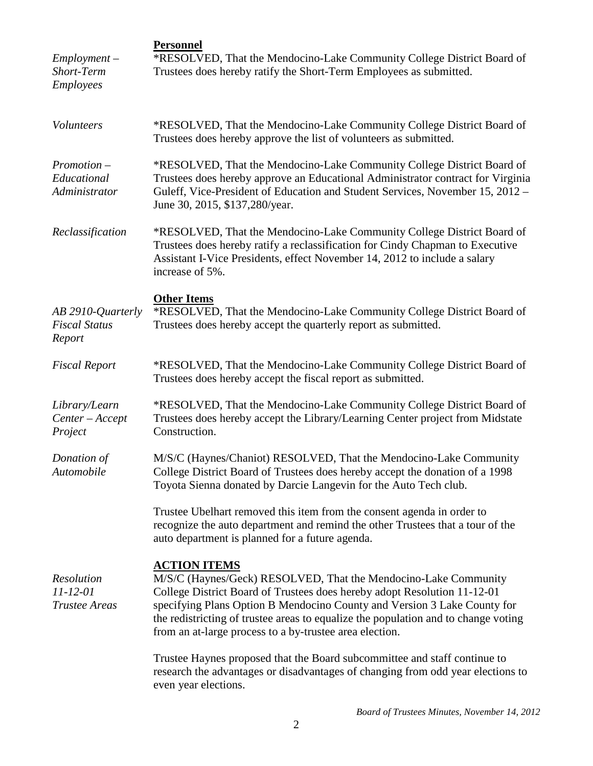| $Employment -$<br>Short-Term<br><b>Employees</b>            | <b>Personnel</b><br>*RESOLVED, That the Mendocino-Lake Community College District Board of<br>Trustees does hereby ratify the Short-Term Employees as submitted.                                                                                                                                                                                                                                |  |
|-------------------------------------------------------------|-------------------------------------------------------------------------------------------------------------------------------------------------------------------------------------------------------------------------------------------------------------------------------------------------------------------------------------------------------------------------------------------------|--|
| Volunteers                                                  | *RESOLVED, That the Mendocino-Lake Community College District Board of<br>Trustees does hereby approve the list of volunteers as submitted.                                                                                                                                                                                                                                                     |  |
| $Promotion -$<br>Educational<br>Administrator               | *RESOLVED, That the Mendocino-Lake Community College District Board of<br>Trustees does hereby approve an Educational Administrator contract for Virginia<br>Guleff, Vice-President of Education and Student Services, November 15, 2012 -<br>June 30, 2015, \$137,280/year.                                                                                                                    |  |
| Reclassification                                            | *RESOLVED, That the Mendocino-Lake Community College District Board of<br>Trustees does hereby ratify a reclassification for Cindy Chapman to Executive<br>Assistant I-Vice Presidents, effect November 14, 2012 to include a salary<br>increase of 5%.                                                                                                                                         |  |
| AB 2910-Quarterly<br><b>Fiscal Status</b><br>Report         | <b>Other Items</b><br>*RESOLVED, That the Mendocino-Lake Community College District Board of<br>Trustees does hereby accept the quarterly report as submitted.                                                                                                                                                                                                                                  |  |
| <b>Fiscal Report</b>                                        | *RESOLVED, That the Mendocino-Lake Community College District Board of<br>Trustees does hereby accept the fiscal report as submitted.                                                                                                                                                                                                                                                           |  |
| Library/Learn<br>Center-Accept<br>Project                   | *RESOLVED, That the Mendocino-Lake Community College District Board of<br>Trustees does hereby accept the Library/Learning Center project from Midstate<br>Construction.                                                                                                                                                                                                                        |  |
| Donation of<br>Automobile                                   | M/S/C (Haynes/Chaniot) RESOLVED, That the Mendocino-Lake Community<br>College District Board of Trustees does hereby accept the donation of a 1998<br>Toyota Sienna donated by Darcie Langevin for the Auto Tech club.                                                                                                                                                                          |  |
|                                                             | Trustee Ubelhart removed this item from the consent agenda in order to<br>recognize the auto department and remind the other Trustees that a tour of the<br>auto department is planned for a future agenda.                                                                                                                                                                                     |  |
| <b>Resolution</b><br>$11 - 12 - 01$<br><b>Trustee Areas</b> | <b>ACTION ITEMS</b><br>M/S/C (Haynes/Geck) RESOLVED, That the Mendocino-Lake Community<br>College District Board of Trustees does hereby adopt Resolution 11-12-01<br>specifying Plans Option B Mendocino County and Version 3 Lake County for<br>the redistricting of trustee areas to equalize the population and to change voting<br>from an at-large process to a by-trustee area election. |  |
|                                                             | Trustee Haynes proposed that the Board subcommittee and staff continue to<br>research the advantages or disadvantages of changing from odd year elections to<br>even year elections.                                                                                                                                                                                                            |  |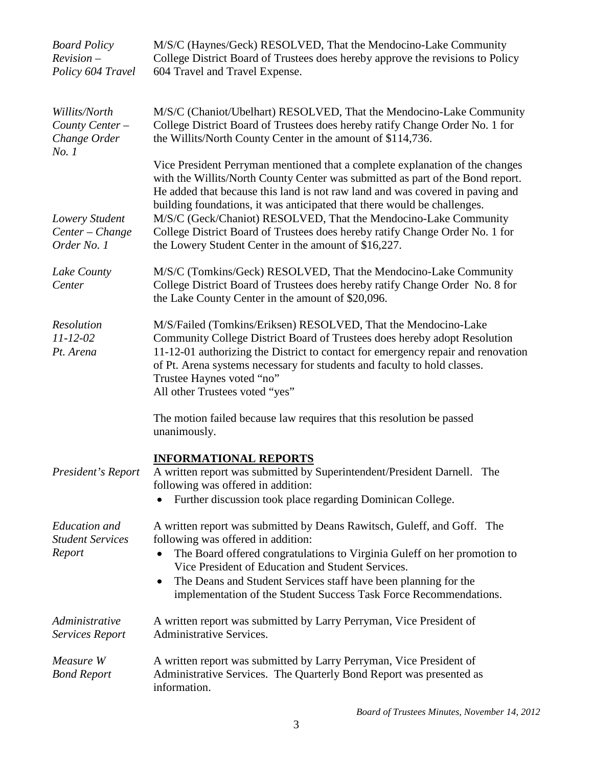| <b>Board Policy</b><br>$Reviewion -$<br>Policy 604 Travel | M/S/C (Haynes/Geck) RESOLVED, That the Mendocino-Lake Community<br>College District Board of Trustees does hereby approve the revisions to Policy<br>604 Travel and Travel Expense.                                                                                                                                                                                                    |
|-----------------------------------------------------------|----------------------------------------------------------------------------------------------------------------------------------------------------------------------------------------------------------------------------------------------------------------------------------------------------------------------------------------------------------------------------------------|
| Willits/North<br>County Center -<br>Change Order<br>No. 1 | M/S/C (Chaniot/Ubelhart) RESOLVED, That the Mendocino-Lake Community<br>College District Board of Trustees does hereby ratify Change Order No. 1 for<br>the Willits/North County Center in the amount of \$114,736.                                                                                                                                                                    |
|                                                           | Vice President Perryman mentioned that a complete explanation of the changes<br>with the Willits/North County Center was submitted as part of the Bond report.<br>He added that because this land is not raw land and was covered in paving and<br>building foundations, it was anticipated that there would be challenges.                                                            |
| Lowery Student<br>Center - Change<br>Order No. 1          | M/S/C (Geck/Chaniot) RESOLVED, That the Mendocino-Lake Community<br>College District Board of Trustees does hereby ratify Change Order No. 1 for<br>the Lowery Student Center in the amount of \$16,227.                                                                                                                                                                               |
| Lake County<br>Center                                     | M/S/C (Tomkins/Geck) RESOLVED, That the Mendocino-Lake Community<br>College District Board of Trustees does hereby ratify Change Order No. 8 for<br>the Lake County Center in the amount of \$20,096.                                                                                                                                                                                  |
| Resolution<br>$11 - 12 - 02$<br>Pt. Arena                 | M/S/Failed (Tomkins/Eriksen) RESOLVED, That the Mendocino-Lake<br>Community College District Board of Trustees does hereby adopt Resolution<br>11-12-01 authorizing the District to contact for emergency repair and renovation<br>of Pt. Arena systems necessary for students and faculty to hold classes.<br>Trustee Haynes voted "no"<br>All other Trustees voted "yes"             |
|                                                           | The motion failed because law requires that this resolution be passed<br>unanimously.                                                                                                                                                                                                                                                                                                  |
| President's Report                                        | <b>INFORMATIONAL REPORTS</b><br>A written report was submitted by Superintendent/President Darnell. The<br>following was offered in addition:<br>Further discussion took place regarding Dominican College.                                                                                                                                                                            |
| <b>Education</b> and<br><b>Student Services</b><br>Report | A written report was submitted by Deans Rawitsch, Guleff, and Goff. The<br>following was offered in addition:<br>The Board offered congratulations to Virginia Guleff on her promotion to<br>Vice President of Education and Student Services.<br>The Deans and Student Services staff have been planning for the<br>implementation of the Student Success Task Force Recommendations. |
| Administrative<br>Services Report                         | A written report was submitted by Larry Perryman, Vice President of<br><b>Administrative Services.</b>                                                                                                                                                                                                                                                                                 |
| Measure W<br><b>Bond Report</b>                           | A written report was submitted by Larry Perryman, Vice President of<br>Administrative Services. The Quarterly Bond Report was presented as<br>information.                                                                                                                                                                                                                             |